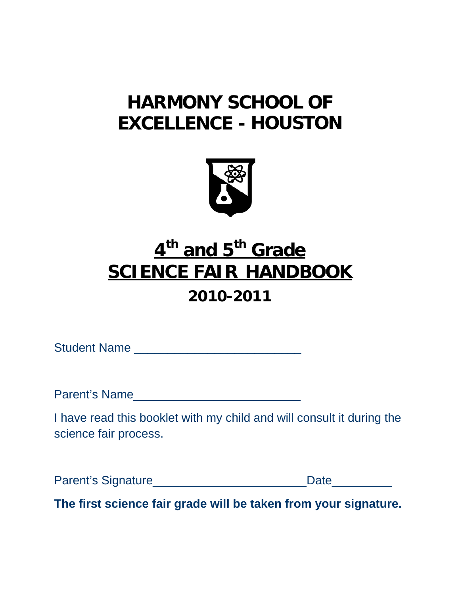# **HARMONY SCHOOL OF EXCELLENCE - HOUSTON**



# **4th and 5th Grade SCIENCE FAIR HANDBOOK**

## **2010-2011**

Student Name \_\_\_\_\_\_\_\_\_\_\_\_\_\_\_\_\_\_\_\_\_\_\_\_\_

Parent's Name\_\_\_\_\_\_\_\_\_\_\_\_\_\_\_\_\_\_\_\_\_\_\_\_\_

I have read this booklet with my child and will consult it during the science fair process.

Parent's Signature\_\_\_\_\_\_\_\_\_\_\_\_\_\_\_\_\_\_\_\_\_\_\_Date\_\_\_\_\_\_\_\_\_

**The first science fair grade will be taken from your signature.**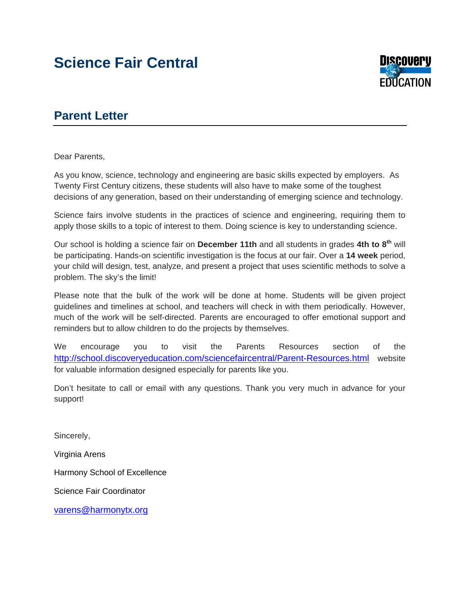### **Science Fair Central**



#### **Parent Letter**

Dear Parents,

As you know, science, technology and engineering are basic skills expected by employers. As Twenty First Century citizens, these students will also have to make some of the toughest decisions of any generation, based on their understanding of emerging science and technology.

Science fairs involve students in the practices of science and engineering, requiring them to apply those skills to a topic of interest to them. Doing science is key to understanding science.

Our school is holding a science fair on **December 11th** and all students in grades **4th to 8th** will be participating. Hands-on scientific investigation is the focus at our fair. Over a **14 week** period, your child will design, test, analyze, and present a project that uses scientific methods to solve a problem. The sky's the limit!

Please note that the bulk of the work will be done at home. Students will be given project guidelines and timelines at school, and teachers will check in with them periodically. However, much of the work will be self-directed. Parents are encouraged to offer emotional support and reminders but to allow children to do the projects by themselves.

We encourage you to visit the Parents Resources section of the <http://school.discoveryeducation.com/sciencefaircentral/Parent-Resources.html> website for valuable information designed especially for parents like you.

Don't hesitate to call or email with any questions. Thank you very much in advance for your support!

Sincerely,

Virginia Arens

Harmony School of Excellence

Science Fair Coordinator

[varens@harmonytx.org](mailto:varens@harmonytx.org)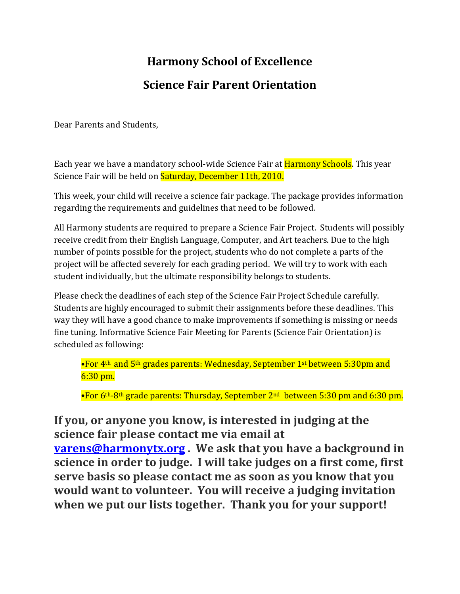# **Harmony School of Excellence Science Fair Parent Orientation**

Dear Parents and Students,

Each year we have a mandatory school-wide Science Fair at **Harmony Schools**. This year Science Fair will be held on **Saturday, December 11th, 2010.** 

This week, your child will receive a science fair package. The package provides information regarding the requirements and guidelines that need to be followed.

All Harmony students are required to prepare a Science Fair Project. Students will possibly receive credit from their English Language, Computer, and Art teachers. Due to the high number of points possible for the project, students who do not complete a parts of the project will be affected severely for each grading period. We will try to work with each student individually, but the ultimate responsibility belongs to students.

Please check the deadlines of each step of the Science Fair Project Schedule carefully. Students are highly encouraged to submit their assignments before these deadlines. This way they will have a good chance to make improvements if something is missing or needs fine tuning. Informative Science Fair Meeting for Parents (Science Fair Orientation) is scheduled as following:

•For 4<sup>th</sup> and 5<sup>th</sup> grades parents: Wednesday, September 1<sup>st</sup> between 5:30pm and 6:30 pm.

•For 6<sup>th</sup>-8<sup>th</sup> grade parents: Thursday, September 2<sup>nd</sup> between 5:30 pm and 6:30 pm.

#### **If you, or anyone you know, is interested in judging at the science fair please contact me via email at**

**[varens@harmonytx.org](mailto:varens@harmonytx.org) . We ask that you have a background in science in order to judge. I will take judges on a first come, first serve basis so please contact me as soon as you know that you would want to volunteer. You will receive a judging invitation when we put our lists together. Thank you for your support!**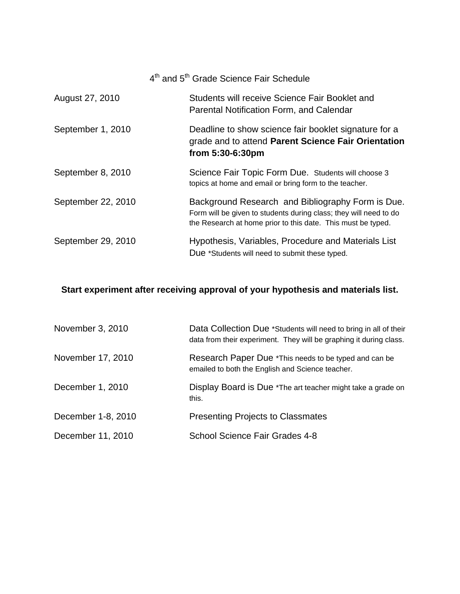|                    | 4 <sup>th</sup> and 5 <sup>th</sup> Grade Science Fair Schedule                                                                                                                        |
|--------------------|----------------------------------------------------------------------------------------------------------------------------------------------------------------------------------------|
| August 27, 2010    | Students will receive Science Fair Booklet and<br>Parental Notification Form, and Calendar                                                                                             |
| September 1, 2010  | Deadline to show science fair booklet signature for a<br>grade and to attend Parent Science Fair Orientation<br>from 5:30-6:30pm                                                       |
| September 8, 2010  | Science Fair Topic Form Due. Students will choose 3<br>topics at home and email or bring form to the teacher.                                                                          |
| September 22, 2010 | Background Research and Bibliography Form is Due.<br>Form will be given to students during class; they will need to do<br>the Research at home prior to this date. This must be typed. |
| September 29, 2010 | Hypothesis, Variables, Procedure and Materials List<br>Due *Students will need to submit these typed.                                                                                  |

#### **Start experiment after receiving approval of your hypothesis and materials list.**

| November 3, 2010   | Data Collection Due *Students will need to bring in all of their<br>data from their experiment. They will be graphing it during class. |
|--------------------|----------------------------------------------------------------------------------------------------------------------------------------|
| November 17, 2010  | Research Paper Due *This needs to be typed and can be<br>emailed to both the English and Science teacher.                              |
| December 1, 2010   | Display Board is Due *The art teacher might take a grade on<br>this.                                                                   |
| December 1-8, 2010 | <b>Presenting Projects to Classmates</b>                                                                                               |
| December 11, 2010  | School Science Fair Grades 4-8                                                                                                         |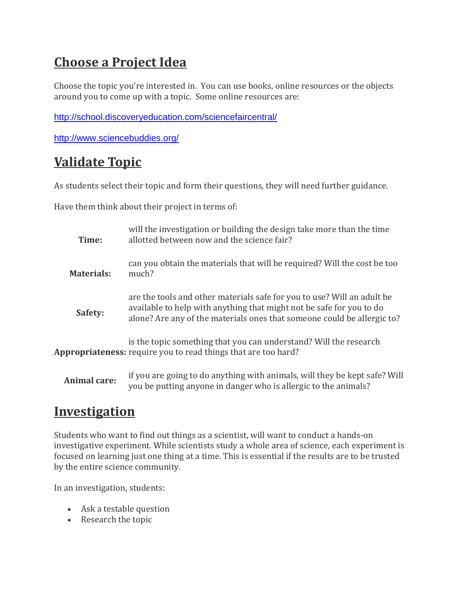### **Choose a Project Idea**

Choose the topic you're interested in. You can use books, online resources or the objects around you to come up with a topic. Some online resources are:

<http://school.discoveryeducation.com/sciencefaircentral/>

<http://www.sciencebuddies.org/>

### **Validate Topic**

As students select their topic and form their questions, they will need further guidance.

Have them think about their project in terms of:

| Time:               | will the investigation or building the design take more than the time<br>allotted between now and the science fair?                                                                                                        |
|---------------------|----------------------------------------------------------------------------------------------------------------------------------------------------------------------------------------------------------------------------|
| <b>Materials:</b>   | can you obtain the materials that will be required? Will the cost be too<br>much?                                                                                                                                          |
| Safety:             | are the tools and other materials safe for you to use? Will an adult be<br>available to help with anything that might not be safe for you to do<br>alone? Are any of the materials ones that someone could be allergic to? |
|                     | is the topic something that you can understand? Will the research<br>Appropriateness: require you to read things that are too hard?                                                                                        |
| <b>Animal care:</b> | if you are going to do anything with animals, will they be kept safe? Will<br>you be putting anyone in danger who is allergic to the animals?                                                                              |

#### **Investigation**

Students who want to find out things as a scientist, will want to conduct a hands-on investigative experiment. While scientists study a whole area of science, each experiment is focused on learning just one thing at a time. This is essential if the results are to be trusted by the entire science community.

In an investigation, students:

- Ask a testable question
- Research the topic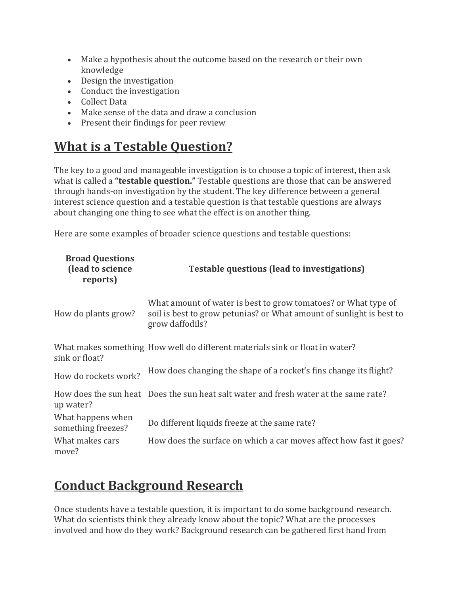- Make a hypothesis about the outcome based on the research or their own knowledge
- Design the investigation
- Conduct the investigation
- Collect Data
- Make sense of the data and draw a conclusion
- Present their findings for peer review

#### **What is a Testable Question?**

The key to a good and manageable investigation is to choose a topic of interest, then ask what is called a **"testable question."** Testable questions are those that can be answered through hands-on investigation by the student. The key difference between a general interest science question and a testable question is that testable questions are always about changing one thing to see what the effect is on another thing.

Here are some examples of broader science questions and testable questions:

| <b>Broad Questions</b><br>(lead to science<br>reports) | <b>Testable questions (lead to investigations)</b>                                                                                                        |
|--------------------------------------------------------|-----------------------------------------------------------------------------------------------------------------------------------------------------------|
| How do plants grow?                                    | What amount of water is best to grow tomatoes? or What type of<br>soil is best to grow petunias? or What amount of sunlight is best to<br>grow daffodils? |
| sink or float?                                         | What makes something How well do different materials sink or float in water?                                                                              |
| How do rockets work?                                   | How does changing the shape of a rocket's fins change its flight?                                                                                         |
| up water?                                              | How does the sun heat Does the sun heat salt water and fresh water at the same rate?                                                                      |
| What happens when<br>something freezes?                | Do different liquids freeze at the same rate?                                                                                                             |
| What makes cars<br>move?                               | How does the surface on which a car moves affect how fast it goes?                                                                                        |

### **Conduct Background Research**

Once students have a testable question, it is important to do some background research. What do scientists think they already know about the topic? What are the processes involved and how do they work? Background research can be gathered first hand from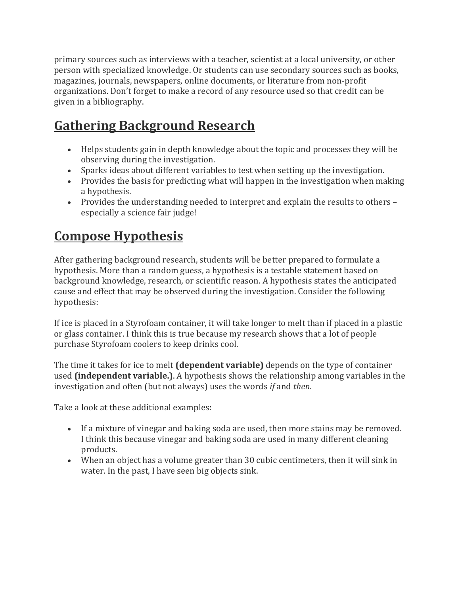primary sources such as interviews with a teacher, scientist at a local university, or other person with specialized knowledge. Or students can use secondary sources such as books, magazines, journals, newspapers, online documents, or literature from non-profit organizations. Don't forget to make a record of any resource used so that credit can be given in a bibliography.

### **Gathering Background Research**

- Helps students gain in depth knowledge about the topic and processes they will be observing during the investigation.
- Sparks ideas about different variables to test when setting up the investigation.
- Provides the basis for predicting what will happen in the investigation when making a hypothesis.
- Provides the understanding needed to interpret and explain the results to others especially a science fair judge!

### **Compose Hypothesis**

After gathering background research, students will be better prepared to formulate a hypothesis. More than a random guess, a hypothesis is a testable statement based on background knowledge, research, or scientific reason. A hypothesis states the anticipated cause and effect that may be observed during the investigation. Consider the following hypothesis:

If ice is placed in a Styrofoam container, it will take longer to melt than if placed in a plastic or glass container. I think this is true because my research shows that a lot of people purchase Styrofoam coolers to keep drinks cool.

The time it takes for ice to melt **(dependent variable)** depends on the type of container used **(independent variable.)**. A hypothesis shows the relationship among variables in the investigation and often (but not always) uses the words *if* and *then*.

Take a look at these additional examples:

- If a mixture of vinegar and baking soda are used, then more stains may be removed. I think this because vinegar and baking soda are used in many different cleaning products.
- When an object has a volume greater than 30 cubic centimeters, then it will sink in water. In the past, I have seen big objects sink.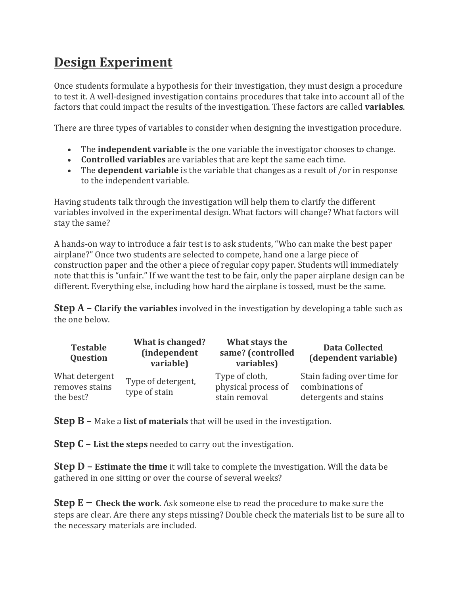### **Design Experiment**

Once students formulate a hypothesis for their investigation, they must design a procedure to test it. A well-designed investigation contains procedures that take into account all of the factors that could impact the results of the investigation. These factors are called **variables**.

There are three types of variables to consider when designing the investigation procedure.

- The **independent variable** is the one variable the investigator chooses to change.
- **Controlled variables** are variables that are kept the same each time.
- The **dependent variable** is the variable that changes as a result of /or in response to the independent variable.

Having students talk through the investigation will help them to clarify the different variables involved in the experimental design. What factors will change? What factors will stay the same?

A hands-on way to introduce a fair test is to ask students, "Who can make the best paper airplane?" Once two students are selected to compete, hand one a large piece of construction paper and the other a piece of regular copy paper. Students will immediately note that this is "unfair." If we want the test to be fair, only the paper airplane design can be different. Everything else, including how hard the airplane is tossed, must be the same.

**Step A – Clarify the variables** involved in the investigation by developing a table such as the one below.

| Testable<br><b>Question</b>                   | What is changed?<br><i>(independent</i><br>variable) | What stays the<br>same? (controlled<br>variables)      | <b>Data Collected</b><br>(dependent variable)                          |
|-----------------------------------------------|------------------------------------------------------|--------------------------------------------------------|------------------------------------------------------------------------|
| What detergent<br>removes stains<br>the best? | Type of detergent,<br>type of stain                  | Type of cloth,<br>physical process of<br>stain removal | Stain fading over time for<br>combinations of<br>detergents and stains |

**Step B** – Make a **list of materials** that will be used in the investigation.

**Step C** – **List the steps** needed to carry out the investigation.

**Step D – Estimate the time** it will take to complete the investigation. Will the data be gathered in one sitting or over the course of several weeks?

**Step E – Check the work**. Ask someone else to read the procedure to make sure the steps are clear. Are there any steps missing? Double check the materials list to be sure all to the necessary materials are included.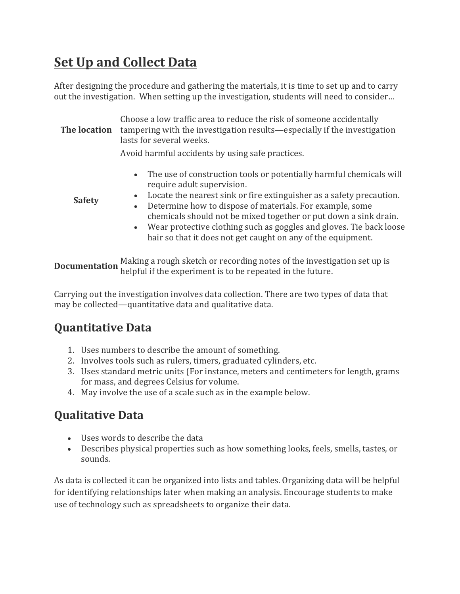### **Set Up and Collect Data**

After designing the procedure and gathering the materials, it is time to set up and to carry out the investigation. When setting up the investigation, students will need to consider…

**The location** tampering with the investigation results—especially if the investigation Choose a low traffic area to reduce the risk of someone accidentally lasts for several weeks.

- Avoid harmful accidents by using safe practices.
	- The use of construction tools or potentially harmful chemicals will require adult supervision.

**Safety**

- Locate the nearest sink or fire extinguisher as a safety precaution.
- Determine how to dispose of materials. For example, some chemicals should not be mixed together or put down a sink drain.
- Wear protective clothing such as goggles and gloves. Tie back loose hair so that it does not get caught on any of the equipment.

**Documentation** Making a rough sketch or recording notes of the investigation set up is helpful if the experiment is to be repeated in the future.

Carrying out the investigation involves data collection. There are two types of data that may be collected—quantitative data and qualitative data.

#### **Quantitative Data**

- 1. Uses numbers to describe the amount of something.
- 2. Involves tools such as rulers, timers, graduated cylinders, etc.
- 3. Uses standard metric units (For instance, meters and centimeters for length, grams for mass, and degrees Celsius for volume.
- 4. May involve the use of a scale such as in the example below.

#### **Qualitative Data**

- Uses words to describe the data
- Describes physical properties such as how something looks, feels, smells, tastes, or sounds.

As data is collected it can be organized into lists and tables. Organizing data will be helpful for identifying relationships later when making an analysis. Encourage students to make use of technology such as spreadsheets to organize their data.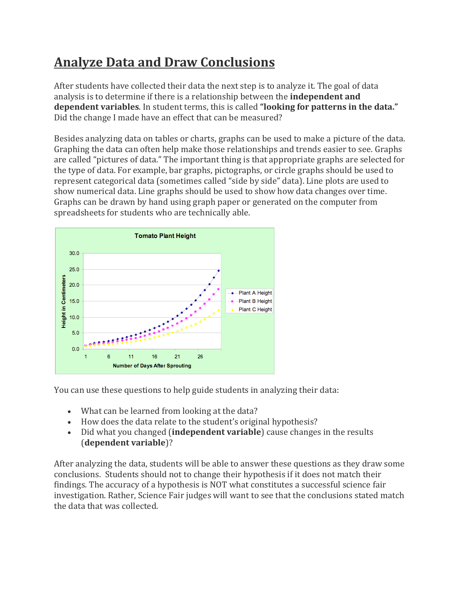### **Analyze Data and Draw Conclusions**

After students have collected their data the next step is to analyze it. The goal of data analysis is to determine if there is a relationship between the **independent and dependent variables**. In student terms, this is called **"looking for patterns in the data."** Did the change I made have an effect that can be measured?

Besides analyzing data on tables or charts, graphs can be used to make a picture of the data. Graphing the data can often help make those relationships and trends easier to see. Graphs are called "pictures of data." The important thing is that appropriate graphs are selected for the type of data. For example, bar graphs, pictographs, or circle graphs should be used to represent categorical data (sometimes called "side by side" data). Line plots are used to show numerical data. Line graphs should be used to show how data changes over time. Graphs can be drawn by hand using graph paper or generated on the computer from spreadsheets for students who are technically able.



You can use these questions to help guide students in analyzing their data:

- What can be learned from looking at the data?
- How does the data relate to the student's original hypothesis?
- Did what you changed (**independent variable**) cause changes in the results (**dependent variable**)?

After analyzing the data, students will be able to answer these questions as they draw some conclusions. Students should not to change their hypothesis if it does not match their findings. The accuracy of a hypothesis is NOT what constitutes a successful science fair investigation. Rather, Science Fair judges will want to see that the conclusions stated match the data that was collected.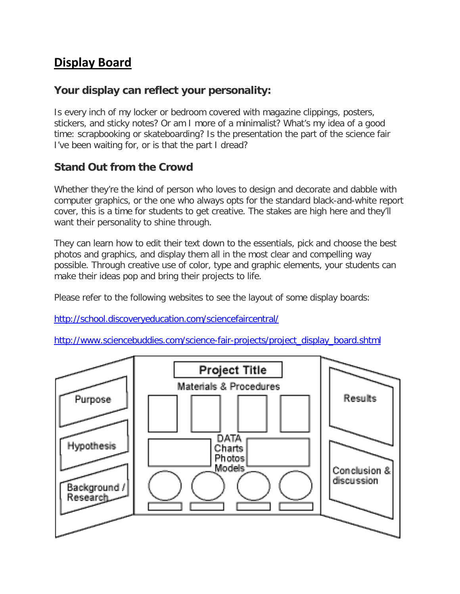#### **Display Board**

#### **Your display can reflect your personality:**

Is every inch of my locker or bedroom covered with magazine clippings, posters, stickers, and sticky notes? Or am I more of a minimalist? What's my idea of a good time: scrapbooking or skateboarding? Is the presentation the part of the science fair I've been waiting for, or is that the part I dread?

#### **Stand Out from the Crowd**

Whether they're the kind of person who loves to design and decorate and dabble with computer graphics, or the one who always opts for the standard black-and-white report cover, this is a time for students to get creative. The stakes are high here and they'll want their personality to shine through.

They can learn how to edit their text down to the essentials, pick and choose the best photos and graphics, and display them all in the most clear and compelling way possible. Through creative use of color, type and graphic elements, your students can make their ideas pop and bring their projects to life.

Please refer to the following websites to see the layout of some display boards:

<http://school.discoveryeducation.com/sciencefaircentral/>

[http://www.sciencebuddies.com/science-fair-projects/project\\_display\\_board.shtml](http://www.sciencebuddies.com/science-fair-projects/project_display_board.shtml)